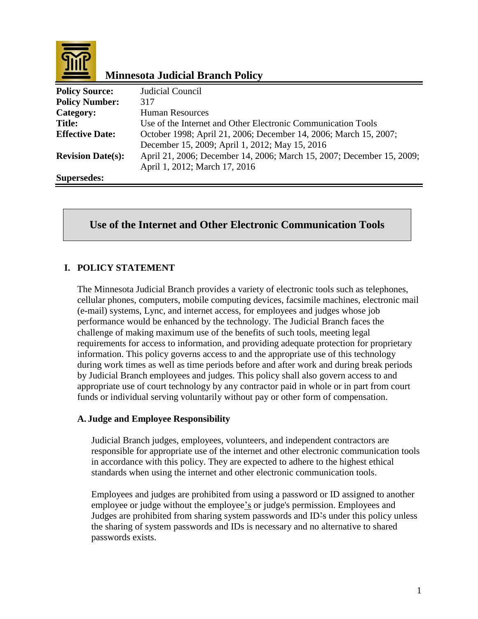

# **Minnesota Judicial Branch Policy**

| <b>Policy Source:</b>    | Judicial Council                                                      |
|--------------------------|-----------------------------------------------------------------------|
| <b>Policy Number:</b>    | 317                                                                   |
| Category:                | <b>Human Resources</b>                                                |
| <b>Title:</b>            | Use of the Internet and Other Electronic Communication Tools          |
| <b>Effective Date:</b>   | October 1998; April 21, 2006; December 14, 2006; March 15, 2007;      |
|                          | December 15, 2009; April 1, 2012; May 15, 2016                        |
| <b>Revision Date(s):</b> | April 21, 2006; December 14, 2006; March 15, 2007; December 15, 2009; |
|                          | April 1, 2012; March 17, 2016                                         |
| Supersedes:              |                                                                       |

# **Use of the Internet and Other Electronic Communication Tools**

# **I. POLICY STATEMENT**

The Minnesota Judicial Branch provides a variety of electronic tools such as telephones, cellular phones, computers, mobile computing devices, facsimile machines, electronic mail (e-mail) systems, Lync, and internet access, for employees and judges whose job performance would be enhanced by the technology. The Judicial Branch faces the challenge of making maximum use of the benefits of such tools, meeting legal requirements for access to information, and providing adequate protection for proprietary information. This policy governs access to and the appropriate use of this technology during work times as well as time periods before and after work and during break periods by Judicial Branch employees and judges. This policy shall also govern access to and appropriate use of court technology by any contractor paid in whole or in part from court funds or individual serving voluntarily without pay or other form of compensation.

# **A. Judge and Employee Responsibility**

Judicial Branch judges, employees, volunteers, and independent contractors are responsible for appropriate use of the internet and other electronic communication tools in accordance with this policy. They are expected to adhere to the highest ethical standards when using the internet and other electronic communication tools.

Employees and judges are prohibited from using a password or ID assigned to another employee or judge without the employee's or judge's permission. Employees and Judges are prohibited from sharing system passwords and ID's under this policy unless the sharing of system passwords and IDs is necessary and no alternative to shared passwords exists.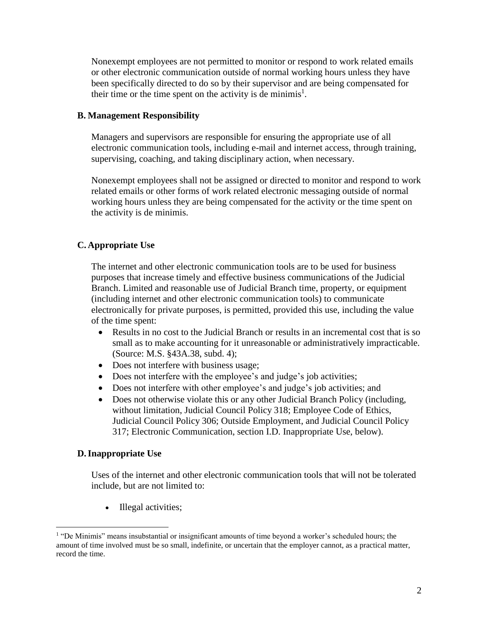Nonexempt employees are not permitted to monitor or respond to work related emails or other electronic communication outside of normal working hours unless they have been specifically directed to do so by their supervisor and are being compensated for their time or the time spent on the activity is de minimis<sup>1</sup>.

### **B. Management Responsibility**

Managers and supervisors are responsible for ensuring the appropriate use of all electronic communication tools, including e-mail and internet access, through training, supervising, coaching, and taking disciplinary action, when necessary.

Nonexempt employees shall not be assigned or directed to monitor and respond to work related emails or other forms of work related electronic messaging outside of normal working hours unless they are being compensated for the activity or the time spent on the activity is de minimis.

# **C. Appropriate Use**

The internet and other electronic communication tools are to be used for business purposes that increase timely and effective business communications of the Judicial Branch. Limited and reasonable use of Judicial Branch time, property, or equipment (including internet and other electronic communication tools) to communicate electronically for private purposes, is permitted, provided this use, including the value of the time spent:

- Results in no cost to the Judicial Branch or results in an incremental cost that is so small as to make accounting for it unreasonable or administratively impracticable. (Source: M.S. §43A.38, subd. 4);
- Does not interfere with business usage;
- Does not interfere with the employee's and judge's job activities;
- Does not interfere with other employee's and judge's job activities; and
- Does not otherwise violate this or any other Judicial Branch Policy (including, without limitation, Judicial Council Policy 318; Employee Code of Ethics, Judicial Council Policy 306; Outside Employment, and Judicial Council Policy 317; Electronic Communication, section I.D. Inappropriate Use, below).

# **D.Inappropriate Use**

 $\overline{a}$ 

Uses of the internet and other electronic communication tools that will not be tolerated include, but are not limited to:

• Illegal activities;

<sup>&</sup>lt;sup>1</sup> "De Minimis" means insubstantial or insignificant amounts of time beyond a worker's scheduled hours; the amount of time involved must be so small, indefinite, or uncertain that the employer cannot, as a practical matter, record the time.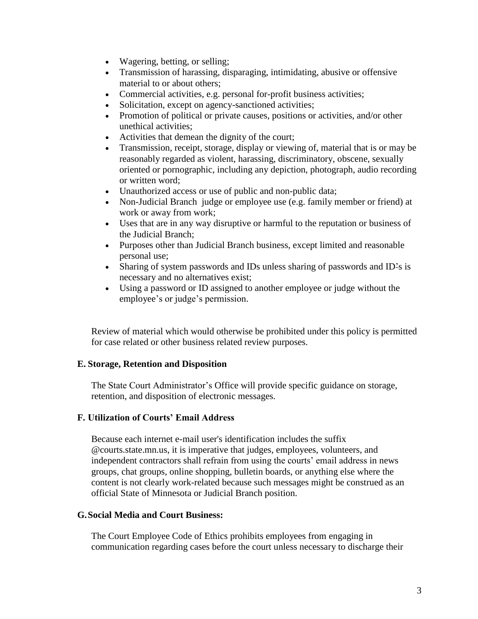- Wagering, betting, or selling;
- Transmission of harassing, disparaging, intimidating, abusive or offensive material to or about others;
- Commercial activities, e.g. personal for-profit business activities;
- Solicitation, except on agency-sanctioned activities;
- Promotion of political or private causes, positions or activities, and/or other unethical activities;
- Activities that demean the dignity of the court;
- Transmission, receipt, storage, display or viewing of, material that is or may be reasonably regarded as violent, harassing, discriminatory, obscene, sexually oriented or pornographic, including any depiction, photograph, audio recording or written word;
- Unauthorized access or use of public and non-public data;
- Non-Judicial Branch judge or employee use (e.g. family member or friend) at work or away from work;
- Uses that are in any way disruptive or harmful to the reputation or business of the Judicial Branch;
- Purposes other than Judicial Branch business, except limited and reasonable personal use;
- Sharing of system passwords and IDs unless sharing of passwords and ID<sup>2</sup>s is necessary and no alternatives exist;
- Using a password or ID assigned to another employee or judge without the employee's or judge's permission.

Review of material which would otherwise be prohibited under this policy is permitted for case related or other business related review purposes.

# **E. Storage, Retention and Disposition**

The State Court Administrator's Office will provide specific guidance on storage, retention, and disposition of electronic messages.

# **F. Utilization of Courts' Email Address**

Because each internet e-mail user's identification includes the suffix @courts.state.mn.us, it is imperative that judges, employees, volunteers, and independent contractors shall refrain from using the courts' email address in news groups, chat groups, online shopping, bulletin boards, or anything else where the content is not clearly work-related because such messages might be construed as an official State of Minnesota or Judicial Branch position.

#### **G.Social Media and Court Business:**

The Court Employee Code of Ethics prohibits employees from engaging in communication regarding cases before the court unless necessary to discharge their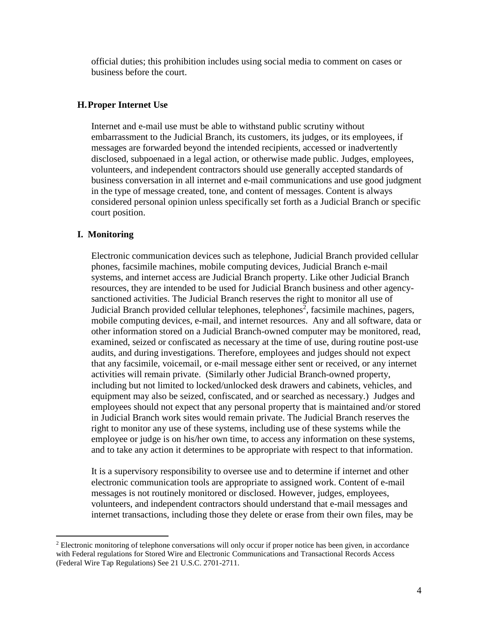official duties; this prohibition includes using social media to comment on cases or business before the court.

### **H.Proper Internet Use**

Internet and e-mail use must be able to withstand public scrutiny without embarrassment to the Judicial Branch, its customers, its judges, or its employees, if messages are forwarded beyond the intended recipients, accessed or inadvertently disclosed, subpoenaed in a legal action, or otherwise made public. Judges, employees, volunteers, and independent contractors should use generally accepted standards of business conversation in all internet and e-mail communications and use good judgment in the type of message created, tone, and content of messages. Content is always considered personal opinion unless specifically set forth as a Judicial Branch or specific court position.

### **I. Monitoring**

 $\overline{a}$ 

Electronic communication devices such as telephone, Judicial Branch provided cellular phones, facsimile machines, mobile computing devices, Judicial Branch e-mail systems, and internet access are Judicial Branch property. Like other Judicial Branch resources, they are intended to be used for Judicial Branch business and other agencysanctioned activities. The Judicial Branch reserves the right to monitor all use of Judicial Branch provided cellular telephones, telephones<sup>2</sup>, facsimile machines, pagers, mobile computing devices, e-mail, and internet resources. Any and all software, data or other information stored on a Judicial Branch-owned computer may be monitored, read, examined, seized or confiscated as necessary at the time of use, during routine post-use audits, and during investigations. Therefore, employees and judges should not expect that any facsimile, voicemail, or e-mail message either sent or received, or any internet activities will remain private. (Similarly other Judicial Branch-owned property, including but not limited to locked/unlocked desk drawers and cabinets, vehicles, and equipment may also be seized, confiscated, and or searched as necessary.) Judges and employees should not expect that any personal property that is maintained and/or stored in Judicial Branch work sites would remain private. The Judicial Branch reserves the right to monitor any use of these systems, including use of these systems while the employee or judge is on his/her own time, to access any information on these systems, and to take any action it determines to be appropriate with respect to that information.

It is a supervisory responsibility to oversee use and to determine if internet and other electronic communication tools are appropriate to assigned work. Content of e-mail messages is not routinely monitored or disclosed. However, judges, employees, volunteers, and independent contractors should understand that e-mail messages and internet transactions, including those they delete or erase from their own files, may be

<sup>&</sup>lt;sup>2</sup> Electronic monitoring of telephone conversations will only occur if proper notice has been given, in accordance with Federal regulations for Stored Wire and Electronic Communications and Transactional Records Access (Federal Wire Tap Regulations) See 21 U.S.C. 2701-2711.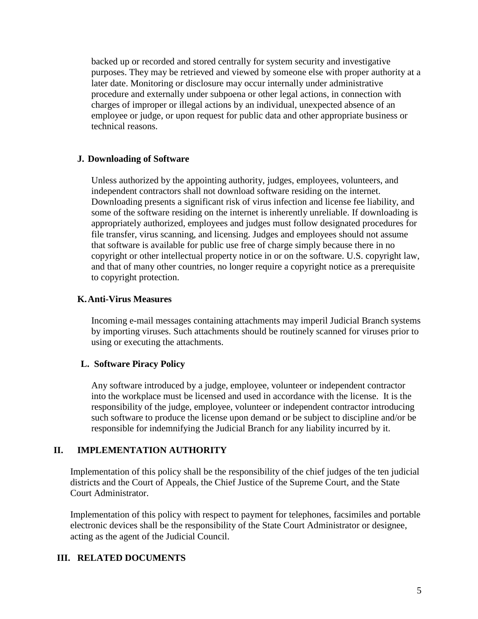backed up or recorded and stored centrally for system security and investigative purposes. They may be retrieved and viewed by someone else with proper authority at a later date. Monitoring or disclosure may occur internally under administrative procedure and externally under subpoena or other legal actions, in connection with charges of improper or illegal actions by an individual, unexpected absence of an employee or judge, or upon request for public data and other appropriate business or technical reasons.

### **J. Downloading of Software**

Unless authorized by the appointing authority, judges, employees, volunteers, and independent contractors shall not download software residing on the internet. Downloading presents a significant risk of virus infection and license fee liability, and some of the software residing on the internet is inherently unreliable. If downloading is appropriately authorized, employees and judges must follow designated procedures for file transfer, virus scanning, and licensing. Judges and employees should not assume that software is available for public use free of charge simply because there in no copyright or other intellectual property notice in or on the software. U.S. copyright law, and that of many other countries, no longer require a copyright notice as a prerequisite to copyright protection.

### **K.Anti-Virus Measures**

Incoming e-mail messages containing attachments may imperil Judicial Branch systems by importing viruses. Such attachments should be routinely scanned for viruses prior to using or executing the attachments.

# **L. Software Piracy Policy**

Any software introduced by a judge, employee, volunteer or independent contractor into the workplace must be licensed and used in accordance with the license. It is the responsibility of the judge, employee, volunteer or independent contractor introducing such software to produce the license upon demand or be subject to discipline and/or be responsible for indemnifying the Judicial Branch for any liability incurred by it.

# **II. IMPLEMENTATION AUTHORITY**

Implementation of this policy shall be the responsibility of the chief judges of the ten judicial districts and the Court of Appeals, the Chief Justice of the Supreme Court, and the State Court Administrator.

Implementation of this policy with respect to payment for telephones, facsimiles and portable electronic devices shall be the responsibility of the State Court Administrator or designee, acting as the agent of the Judicial Council.

# **III. RELATED DOCUMENTS**